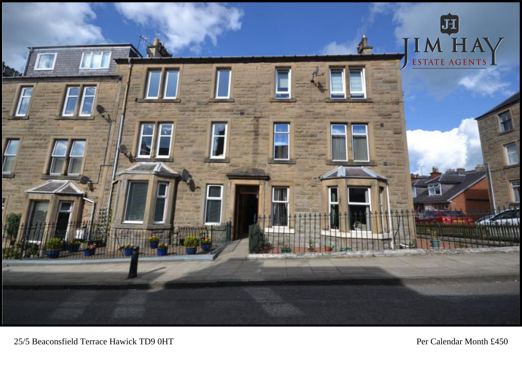

25/5 Beaconsfield Terrace Hawick TD9 0HT Per Calendar Month £450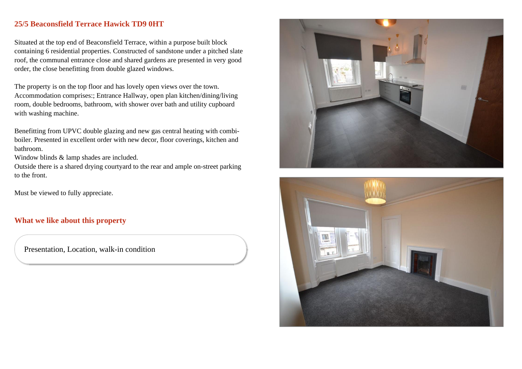## **25/5 Beaconsfield Terrace Hawick TD9 0HT**

Situated at the top end of Beaconsfield Terrace, within a purpose built block containing 6 residential properties. Constructed of sandstone under a pitched slate roof, the communal entrance close and shared gardens are presented in very good order, the close benefitting from double glazed windows.

The property is on the top floor and has lovely open views over the town. Accommodation comprises:; Entrance Hallway, open plan kitchen/dining/living room, double bedrooms, bathroom, with shower over bath and utility cupboard with washing machine.

Benefitting from UPVC double glazing and new gas central heating with combiboiler. Presented in excellent order with new decor, floor coverings, kitchen and bathroom.

Window blinds & lamp shades are included.

Outside there is a shared drying courtyard to the rear and ample on-street parking to the front.

Must be viewed to fully appreciate.

## **What we like about this property**

Presentation, Location, walk-in condition



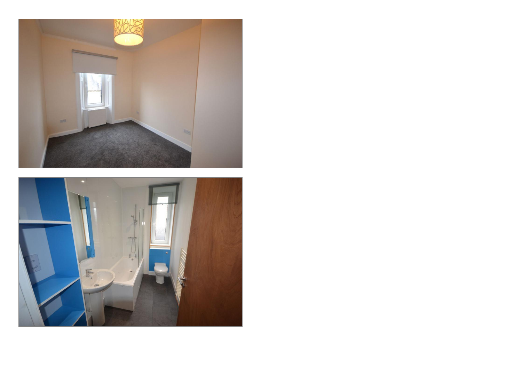